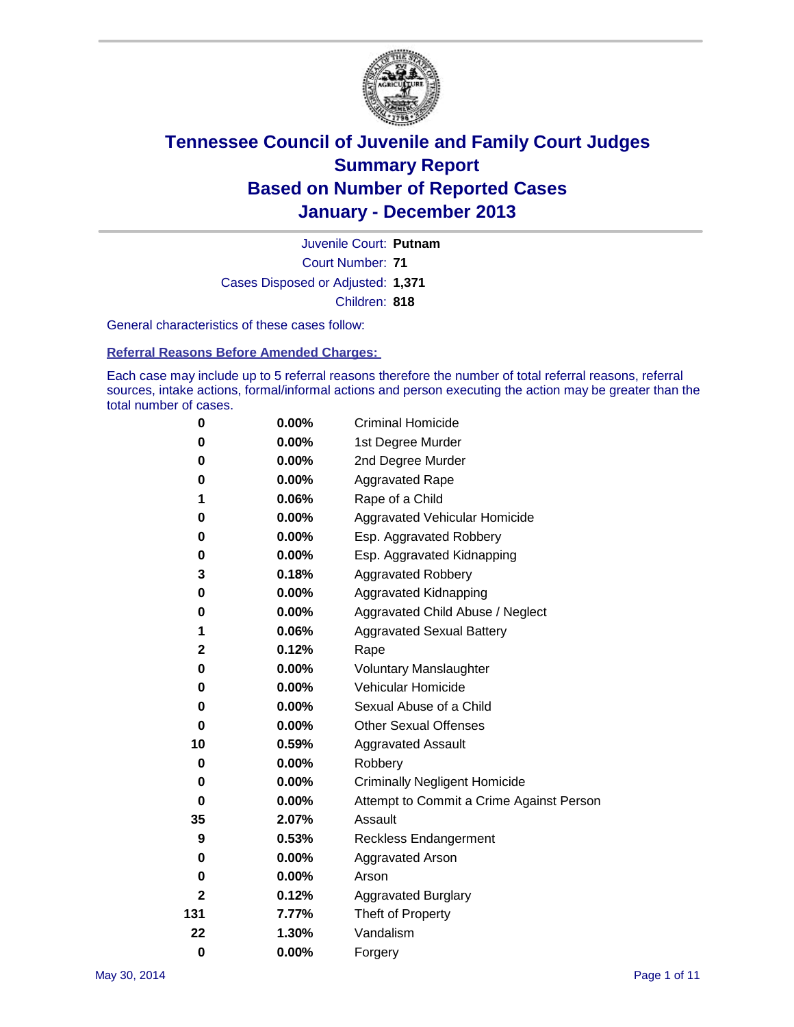

Court Number: **71** Juvenile Court: **Putnam** Cases Disposed or Adjusted: **1,371** Children: **818**

General characteristics of these cases follow:

**Referral Reasons Before Amended Charges:** 

Each case may include up to 5 referral reasons therefore the number of total referral reasons, referral sources, intake actions, formal/informal actions and person executing the action may be greater than the total number of cases.

| 0            | 0.00%    | <b>Criminal Homicide</b>                 |
|--------------|----------|------------------------------------------|
| 0            | 0.00%    | 1st Degree Murder                        |
| 0            | 0.00%    | 2nd Degree Murder                        |
| 0            | 0.00%    | <b>Aggravated Rape</b>                   |
| 1            | 0.06%    | Rape of a Child                          |
| 0            | 0.00%    | Aggravated Vehicular Homicide            |
| 0            | 0.00%    | Esp. Aggravated Robbery                  |
| 0            | 0.00%    | Esp. Aggravated Kidnapping               |
| 3            | 0.18%    | <b>Aggravated Robbery</b>                |
| 0            | 0.00%    | Aggravated Kidnapping                    |
| 0            | 0.00%    | Aggravated Child Abuse / Neglect         |
| 1            | 0.06%    | <b>Aggravated Sexual Battery</b>         |
| $\mathbf 2$  | 0.12%    | Rape                                     |
| 0            | 0.00%    | <b>Voluntary Manslaughter</b>            |
| 0            | 0.00%    | Vehicular Homicide                       |
| 0            | 0.00%    | Sexual Abuse of a Child                  |
| 0            | $0.00\%$ | <b>Other Sexual Offenses</b>             |
| 10           | 0.59%    | <b>Aggravated Assault</b>                |
| 0            | 0.00%    | Robbery                                  |
| 0            | 0.00%    | <b>Criminally Negligent Homicide</b>     |
| 0            | 0.00%    | Attempt to Commit a Crime Against Person |
| 35           | 2.07%    | Assault                                  |
| 9            | 0.53%    | <b>Reckless Endangerment</b>             |
| 0            | 0.00%    | <b>Aggravated Arson</b>                  |
| 0            | $0.00\%$ | Arson                                    |
| $\mathbf{2}$ | 0.12%    | <b>Aggravated Burglary</b>               |
| 131          | 7.77%    | Theft of Property                        |
| 22           | 1.30%    | Vandalism                                |
| $\bf{0}$     | 0.00%    | Forgery                                  |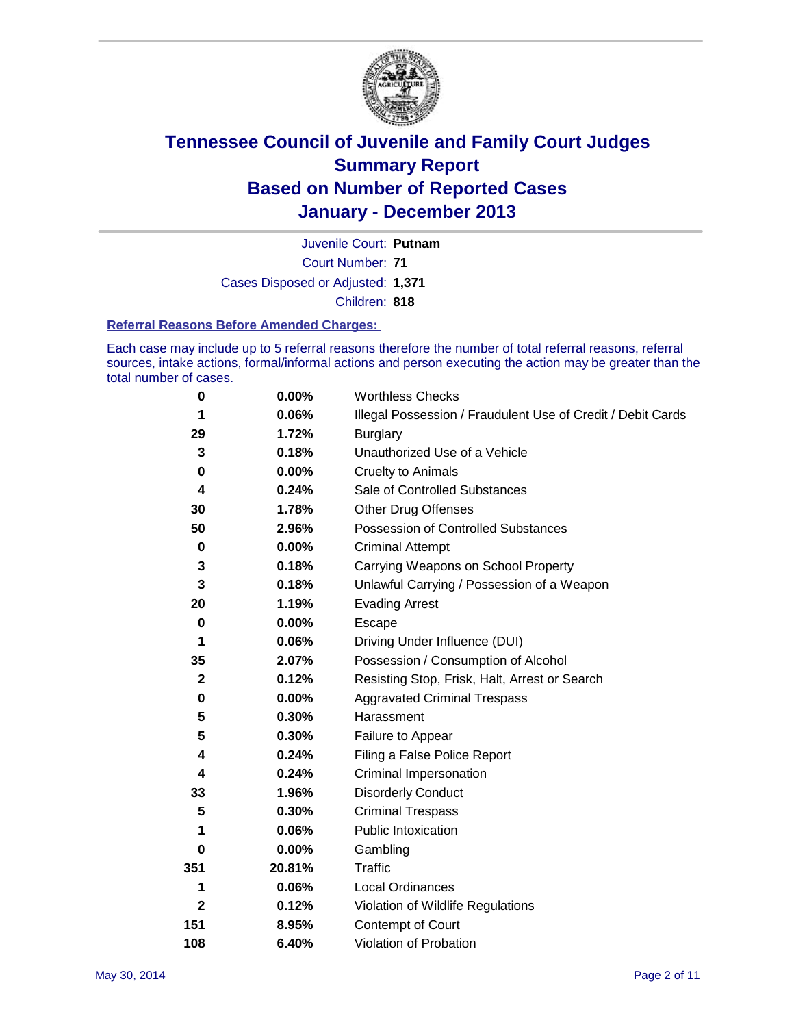

Court Number: **71** Juvenile Court: **Putnam** Cases Disposed or Adjusted: **1,371** Children: **818**

#### **Referral Reasons Before Amended Charges:**

Each case may include up to 5 referral reasons therefore the number of total referral reasons, referral sources, intake actions, formal/informal actions and person executing the action may be greater than the total number of cases.

| $\pmb{0}$    | 0.00%    | <b>Worthless Checks</b>                                     |
|--------------|----------|-------------------------------------------------------------|
| 1            | 0.06%    | Illegal Possession / Fraudulent Use of Credit / Debit Cards |
| 29           | 1.72%    | <b>Burglary</b>                                             |
| 3            | 0.18%    | Unauthorized Use of a Vehicle                               |
| 0            | $0.00\%$ | <b>Cruelty to Animals</b>                                   |
| 4            | 0.24%    | Sale of Controlled Substances                               |
| 30           | 1.78%    | <b>Other Drug Offenses</b>                                  |
| 50           | 2.96%    | Possession of Controlled Substances                         |
| $\pmb{0}$    | $0.00\%$ | <b>Criminal Attempt</b>                                     |
| 3            | 0.18%    | Carrying Weapons on School Property                         |
| 3            | 0.18%    | Unlawful Carrying / Possession of a Weapon                  |
| 20           | 1.19%    | <b>Evading Arrest</b>                                       |
| $\pmb{0}$    | 0.00%    | Escape                                                      |
| 1            | 0.06%    | Driving Under Influence (DUI)                               |
| 35           | 2.07%    | Possession / Consumption of Alcohol                         |
| $\mathbf{2}$ | 0.12%    | Resisting Stop, Frisk, Halt, Arrest or Search               |
| 0            | $0.00\%$ | <b>Aggravated Criminal Trespass</b>                         |
| 5            | 0.30%    | Harassment                                                  |
| 5            | 0.30%    | Failure to Appear                                           |
| 4            | 0.24%    | Filing a False Police Report                                |
| 4            | 0.24%    | Criminal Impersonation                                      |
| 33           | 1.96%    | <b>Disorderly Conduct</b>                                   |
| 5            | 0.30%    | <b>Criminal Trespass</b>                                    |
| 1            | 0.06%    | <b>Public Intoxication</b>                                  |
| 0            | 0.00%    | Gambling                                                    |
| 351          | 20.81%   | <b>Traffic</b>                                              |
| 1            | 0.06%    | <b>Local Ordinances</b>                                     |
| $\mathbf{2}$ | 0.12%    | Violation of Wildlife Regulations                           |
| 151          | 8.95%    | Contempt of Court                                           |
| 108          | 6.40%    | Violation of Probation                                      |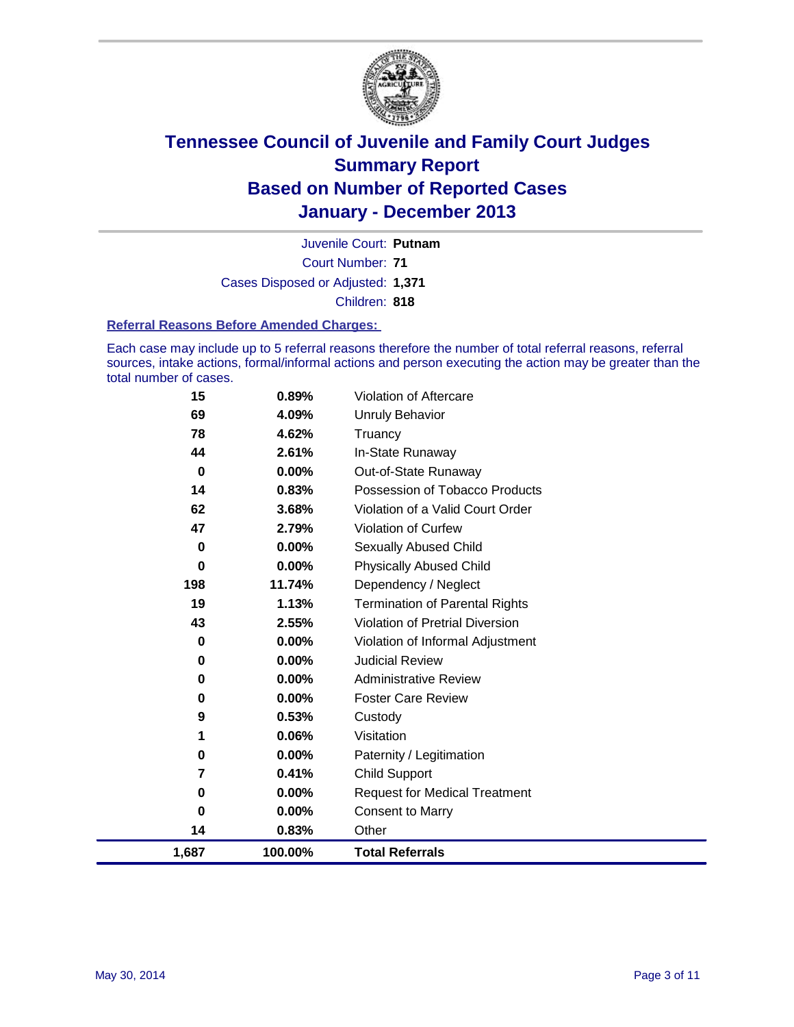

Court Number: **71** Juvenile Court: **Putnam** Cases Disposed or Adjusted: **1,371** Children: **818**

#### **Referral Reasons Before Amended Charges:**

Each case may include up to 5 referral reasons therefore the number of total referral reasons, referral sources, intake actions, formal/informal actions and person executing the action may be greater than the total number of cases.

| 1,687          | 100.00%           | <b>Total Referrals</b>                                 |
|----------------|-------------------|--------------------------------------------------------|
| 14             | 0.83%             | Other                                                  |
| $\bf{0}$       | 0.00%             | <b>Consent to Marry</b>                                |
| 0              | 0.00%             | <b>Request for Medical Treatment</b>                   |
| 7              | 0.41%             | <b>Child Support</b>                                   |
| 0              | 0.00%             | Paternity / Legitimation                               |
| 1              | 0.06%             | Visitation                                             |
| 9              | 0.53%             | Custody                                                |
| 0              | $0.00\%$          | <b>Foster Care Review</b>                              |
| 0              | $0.00\%$          | <b>Administrative Review</b>                           |
| 0              | 0.00%             | <b>Judicial Review</b>                                 |
| 0              | $0.00\%$          | Violation of Informal Adjustment                       |
| 43             | 2.55%             | <b>Violation of Pretrial Diversion</b>                 |
| 19             | 1.13%             | <b>Termination of Parental Rights</b>                  |
| 198            | 11.74%            | Dependency / Neglect                                   |
| 0              | $0.00\%$          | <b>Physically Abused Child</b>                         |
| 0              | $0.00\%$          | Sexually Abused Child                                  |
| 47             | 2.79%             | Violation of Curfew                                    |
| 62             | 3.68%             | Violation of a Valid Court Order                       |
| 14             | $0.00\%$<br>0.83% | Out-of-State Runaway<br>Possession of Tobacco Products |
| 44<br>$\bf{0}$ | 2.61%             | In-State Runaway                                       |
| 78             | 4.62%             | Truancy                                                |
| 69             | 4.09%             | <b>Unruly Behavior</b>                                 |
|                | 0.89%             |                                                        |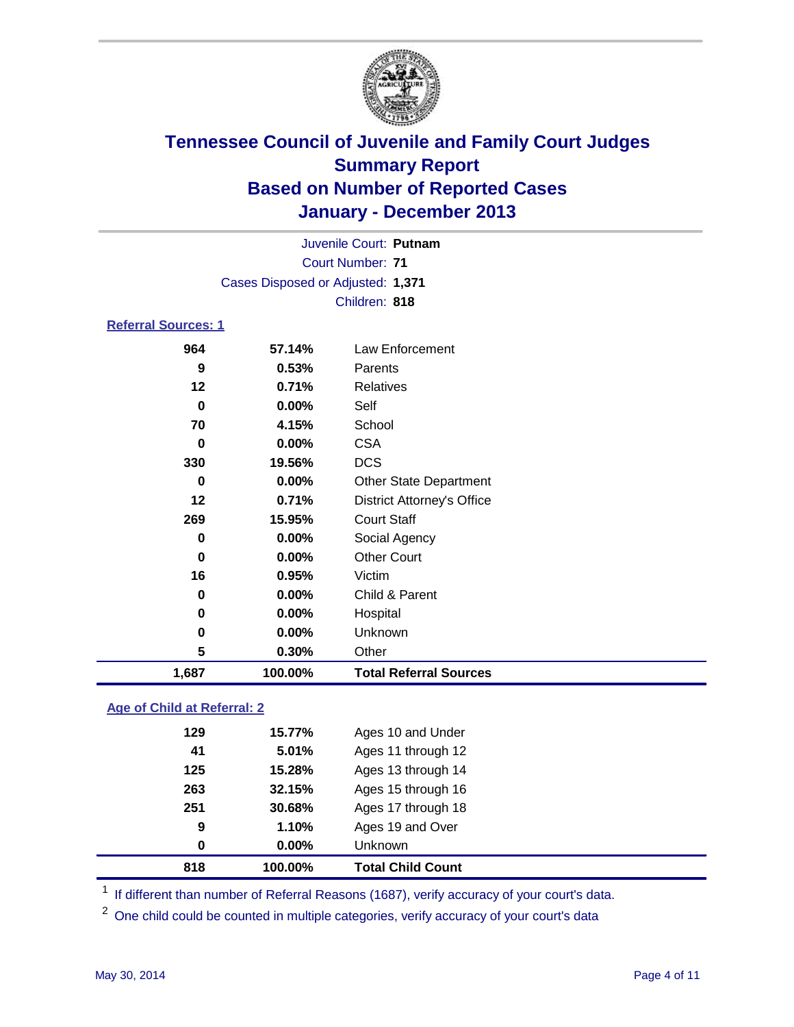

| Juvenile Court: Putnam            |  |
|-----------------------------------|--|
| Court Number: 71                  |  |
| Cases Disposed or Adjusted: 1,371 |  |
| Children: 818                     |  |
| <b>Referral Sources: 1</b>        |  |

| 1,687       | 100.00% | <b>Total Referral Sources</b>     |
|-------------|---------|-----------------------------------|
| 5           | 0.30%   | Other                             |
| 0           | 0.00%   | Unknown                           |
| 0           | 0.00%   | Hospital                          |
| $\bf{0}$    | 0.00%   | Child & Parent                    |
| 16          | 0.95%   | Victim                            |
| 0           | 0.00%   | <b>Other Court</b>                |
| 0           | 0.00%   | Social Agency                     |
| 269         | 15.95%  | <b>Court Staff</b>                |
| 12          | 0.71%   | <b>District Attorney's Office</b> |
| 0           | 0.00%   | <b>Other State Department</b>     |
| 330         | 19.56%  | <b>DCS</b>                        |
| 0           | 0.00%   | <b>CSA</b>                        |
| 70          | 4.15%   | School                            |
| $\mathbf 0$ | 0.00%   | Self                              |
| 12          | 0.71%   | Relatives                         |
| 9           | 0.53%   | Parents                           |
| 964         | 57.14%  | Law Enforcement                   |

### **Age of Child at Referral: 2**

| 0   | 0.00%  | <b>Unknown</b>     |
|-----|--------|--------------------|
| 9   | 1.10%  | Ages 19 and Over   |
| 251 | 30.68% | Ages 17 through 18 |
| 263 | 32.15% | Ages 15 through 16 |
| 125 | 15.28% | Ages 13 through 14 |
| 41  | 5.01%  | Ages 11 through 12 |
| 129 | 15.77% | Ages 10 and Under  |
|     |        |                    |

<sup>1</sup> If different than number of Referral Reasons (1687), verify accuracy of your court's data.

<sup>2</sup> One child could be counted in multiple categories, verify accuracy of your court's data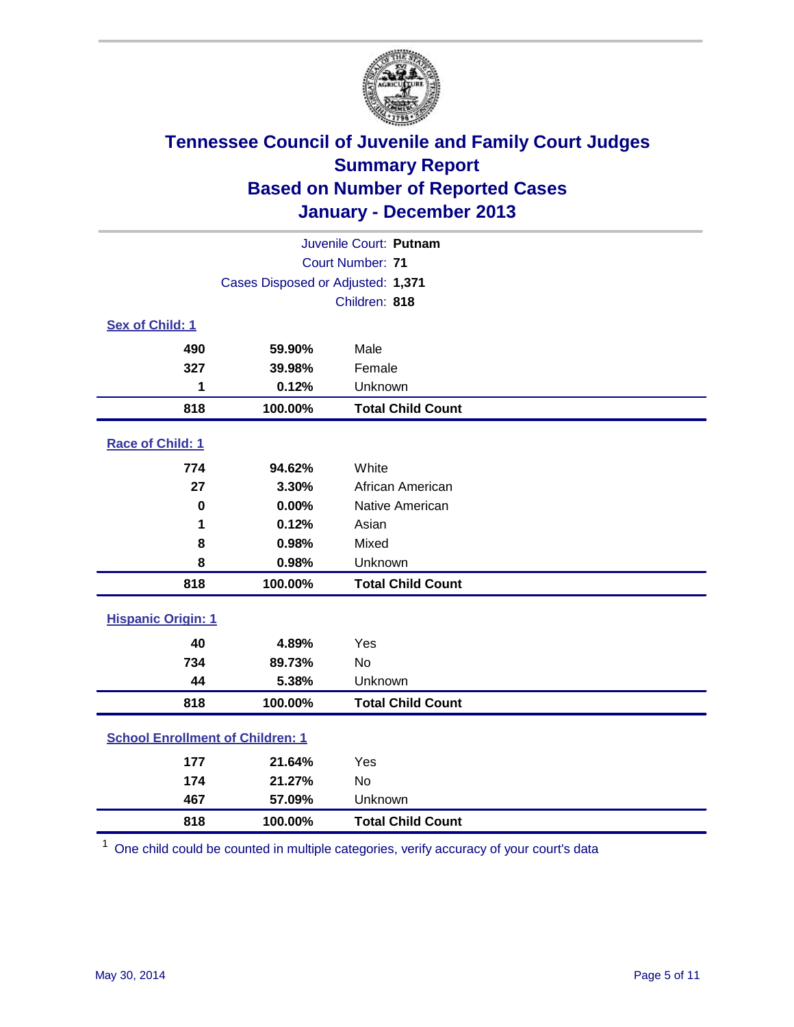

|                                         |                                   | Juvenile Court: Putnam   |
|-----------------------------------------|-----------------------------------|--------------------------|
|                                         |                                   | Court Number: 71         |
|                                         | Cases Disposed or Adjusted: 1,371 |                          |
|                                         |                                   | Children: 818            |
| Sex of Child: 1                         |                                   |                          |
| 490                                     | 59.90%                            | Male                     |
| 327                                     | 39.98%                            | Female                   |
| 1                                       | 0.12%                             | Unknown                  |
| 818                                     | 100.00%                           | <b>Total Child Count</b> |
| Race of Child: 1                        |                                   |                          |
| 774                                     | 94.62%                            | White                    |
| 27                                      | 3.30%                             | African American         |
| $\mathbf 0$                             | 0.00%                             | Native American          |
| 1                                       | 0.12%                             | Asian                    |
| 8                                       | 0.98%                             | Mixed                    |
| 8                                       | 0.98%                             | Unknown                  |
| 818                                     | 100.00%                           | <b>Total Child Count</b> |
| <b>Hispanic Origin: 1</b>               |                                   |                          |
| 40                                      | 4.89%                             | Yes                      |
| 734                                     | 89.73%                            | No                       |
| 44                                      | 5.38%                             | Unknown                  |
| 818                                     | 100.00%                           | <b>Total Child Count</b> |
| <b>School Enrollment of Children: 1</b> |                                   |                          |
| 177                                     | 21.64%                            | Yes                      |
| 174                                     | 21.27%                            | No                       |
| 467                                     | 57.09%                            | Unknown                  |
| 818                                     | 100.00%                           | <b>Total Child Count</b> |

One child could be counted in multiple categories, verify accuracy of your court's data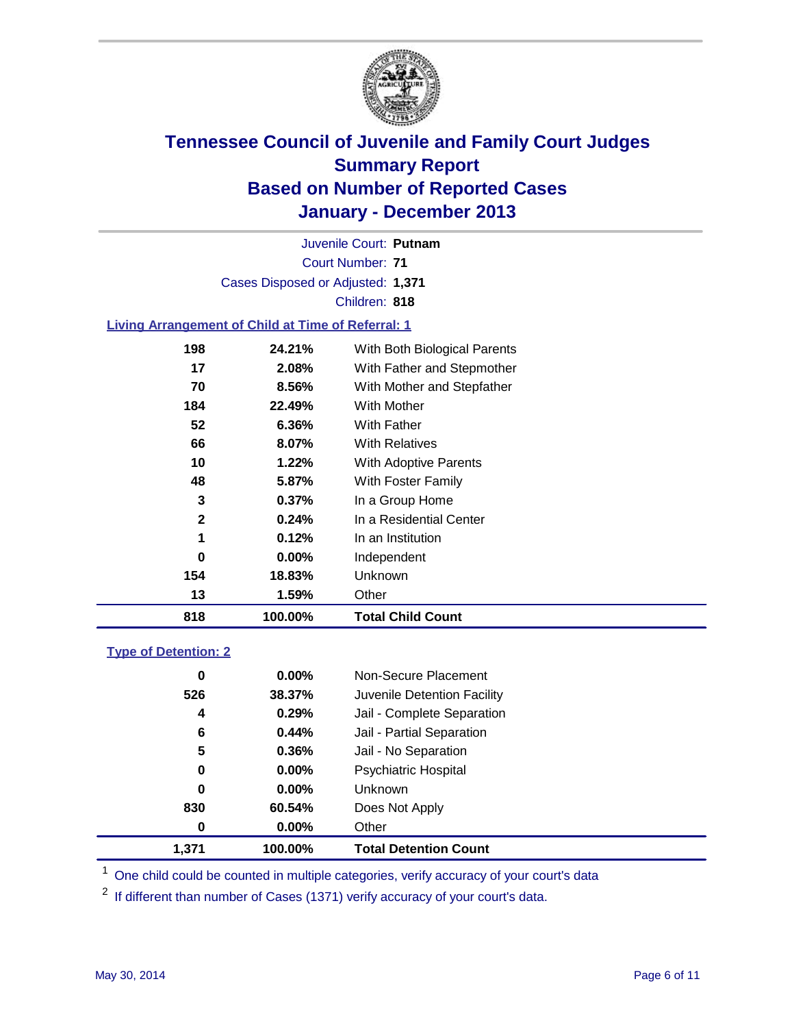

Court Number: **71** Juvenile Court: **Putnam** Cases Disposed or Adjusted: **1,371** Children: **818**

### **Living Arrangement of Child at Time of Referral: 1**

| 818          | 100.00%  | <b>Total Child Count</b>     |
|--------------|----------|------------------------------|
| 13           | 1.59%    | Other                        |
| 154          | 18.83%   | <b>Unknown</b>               |
| 0            | $0.00\%$ | Independent                  |
| 1            | 0.12%    | In an Institution            |
| $\mathbf{2}$ | 0.24%    | In a Residential Center      |
| 3            | 0.37%    | In a Group Home              |
| 48           | 5.87%    | With Foster Family           |
| 10           | $1.22\%$ | With Adoptive Parents        |
| 66           | 8.07%    | <b>With Relatives</b>        |
| 52           | 6.36%    | With Father                  |
| 184          | 22.49%   | With Mother                  |
| 70           | 8.56%    | With Mother and Stepfather   |
| 17           | 2.08%    | With Father and Stepmother   |
| 198          | 24.21%   | With Both Biological Parents |
|              |          |                              |

### **Type of Detention: 2**

| 1.371 | 100.00%  | <b>Total Detention Count</b> |  |
|-------|----------|------------------------------|--|
| 0     | 0.00%    | Other                        |  |
| 830   | 60.54%   | Does Not Apply               |  |
| 0     | 0.00%    | <b>Unknown</b>               |  |
| 0     | 0.00%    | <b>Psychiatric Hospital</b>  |  |
| 5     | 0.36%    | Jail - No Separation         |  |
| 6     | 0.44%    | Jail - Partial Separation    |  |
| 4     | 0.29%    | Jail - Complete Separation   |  |
| 526   | 38.37%   | Juvenile Detention Facility  |  |
| 0     | $0.00\%$ | Non-Secure Placement         |  |
|       |          |                              |  |

<sup>1</sup> One child could be counted in multiple categories, verify accuracy of your court's data

<sup>2</sup> If different than number of Cases (1371) verify accuracy of your court's data.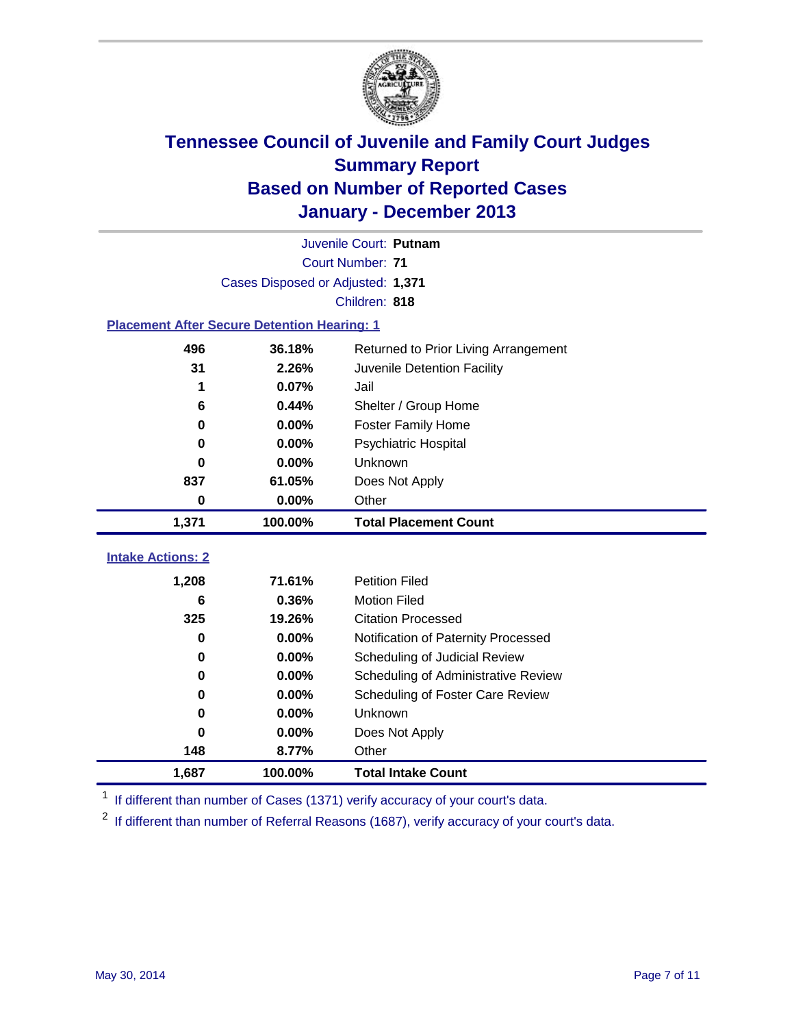

|                                                    |                                   | Juvenile Court: Putnam               |
|----------------------------------------------------|-----------------------------------|--------------------------------------|
|                                                    |                                   | Court Number: 71                     |
|                                                    | Cases Disposed or Adjusted: 1,371 |                                      |
|                                                    |                                   | Children: 818                        |
| <b>Placement After Secure Detention Hearing: 1</b> |                                   |                                      |
| 496                                                | 36.18%                            | Returned to Prior Living Arrangement |
| 31                                                 | 2.26%                             | Juvenile Detention Facility          |
| 1                                                  | 0.07%                             | Jail                                 |
| 6                                                  | 0.44%                             | Shelter / Group Home                 |
| 0                                                  | 0.00%                             | Foster Family Home                   |
| 0                                                  | 0.00%                             | Psychiatric Hospital                 |
| 0                                                  | 0.00%                             | Unknown                              |
| 837                                                | 61.05%                            | Does Not Apply                       |
| 0                                                  | 0.00%                             | Other                                |
| 1,371                                              | 100.00%                           | <b>Total Placement Count</b>         |
|                                                    |                                   |                                      |
| <b>Intake Actions: 2</b>                           |                                   |                                      |
| 1,208                                              | 71.61%                            | <b>Petition Filed</b>                |
| 6                                                  | 0.36%                             | <b>Motion Filed</b>                  |
| 325                                                | 19.26%                            | <b>Citation Processed</b>            |
| 0                                                  | $0.00\%$                          | Notification of Paternity Processed  |
| 0                                                  | 0.00%                             | Scheduling of Judicial Review        |
| 0                                                  | 0.00%                             | Scheduling of Administrative Review  |
| 0                                                  | 0.00%                             | Scheduling of Foster Care Review     |
| 0                                                  | 0.00%                             | Unknown                              |
| 0                                                  | 0.00%                             | Does Not Apply                       |
| 148                                                | 8.77%                             | Other                                |
| 1,687                                              | 100.00%                           | <b>Total Intake Count</b>            |

<sup>1</sup> If different than number of Cases (1371) verify accuracy of your court's data.

<sup>2</sup> If different than number of Referral Reasons (1687), verify accuracy of your court's data.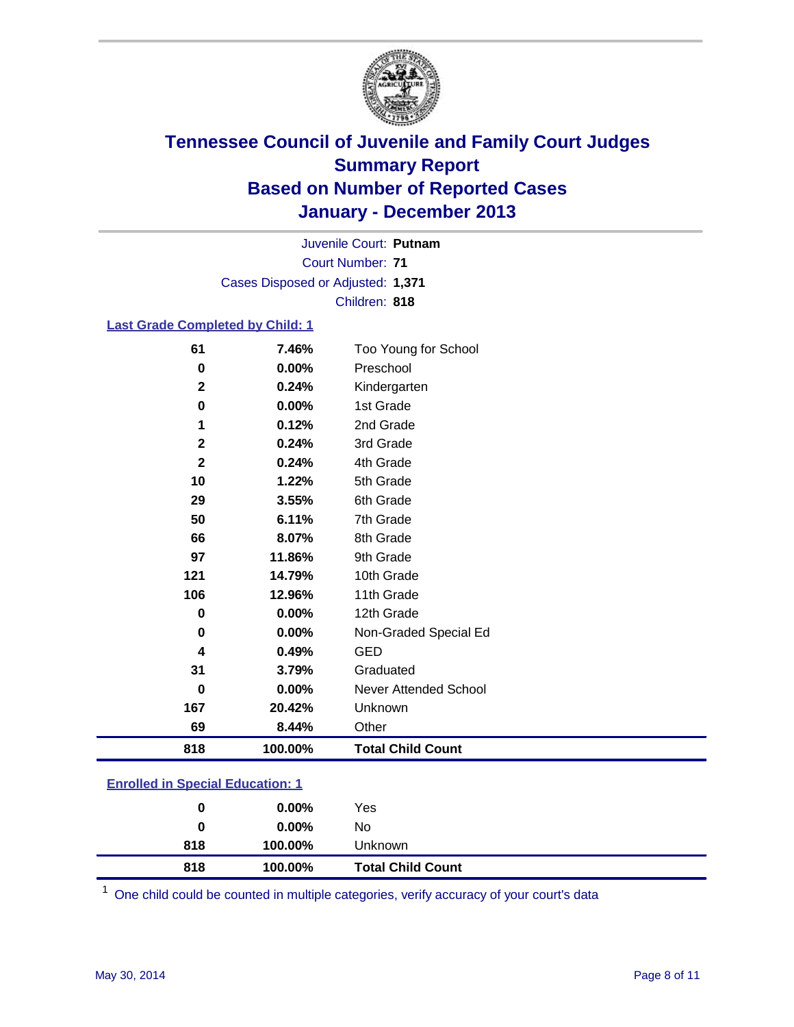

Court Number: **71** Juvenile Court: **Putnam** Cases Disposed or Adjusted: **1,371** Children: **818**

### **Last Grade Completed by Child: 1**

| 61           | 7.46%   | Too Young for School     |
|--------------|---------|--------------------------|
| 0            | 0.00%   | Preschool                |
| $\mathbf 2$  | 0.24%   | Kindergarten             |
| 0            | 0.00%   | 1st Grade                |
| 1            | 0.12%   | 2nd Grade                |
| $\mathbf 2$  | 0.24%   | 3rd Grade                |
| $\mathbf{2}$ | 0.24%   | 4th Grade                |
| 10           | 1.22%   | 5th Grade                |
| 29           | 3.55%   | 6th Grade                |
| 50           | 6.11%   | 7th Grade                |
| 66           | 8.07%   | 8th Grade                |
| 97           | 11.86%  | 9th Grade                |
| 121          | 14.79%  | 10th Grade               |
| 106          | 12.96%  | 11th Grade               |
| $\bf{0}$     | 0.00%   | 12th Grade               |
| 0            | 0.00%   | Non-Graded Special Ed    |
| 4            | 0.49%   | <b>GED</b>               |
| 31           | 3.79%   | Graduated                |
| 0            | 0.00%   | Never Attended School    |
| 167          | 20.42%  | Unknown                  |
| 69           | 8.44%   | Other                    |
| 818          | 100.00% | <b>Total Child Count</b> |

| <b>Enrolled in Special Education: 1</b> |  |
|-----------------------------------------|--|
|-----------------------------------------|--|

| 818 | 100.00%  | <b>Total Child Count</b> |  |
|-----|----------|--------------------------|--|
| 818 | 100.00%  | Unknown                  |  |
| 0   | $0.00\%$ | No                       |  |
| 0   | $0.00\%$ | Yes                      |  |
|     |          |                          |  |

One child could be counted in multiple categories, verify accuracy of your court's data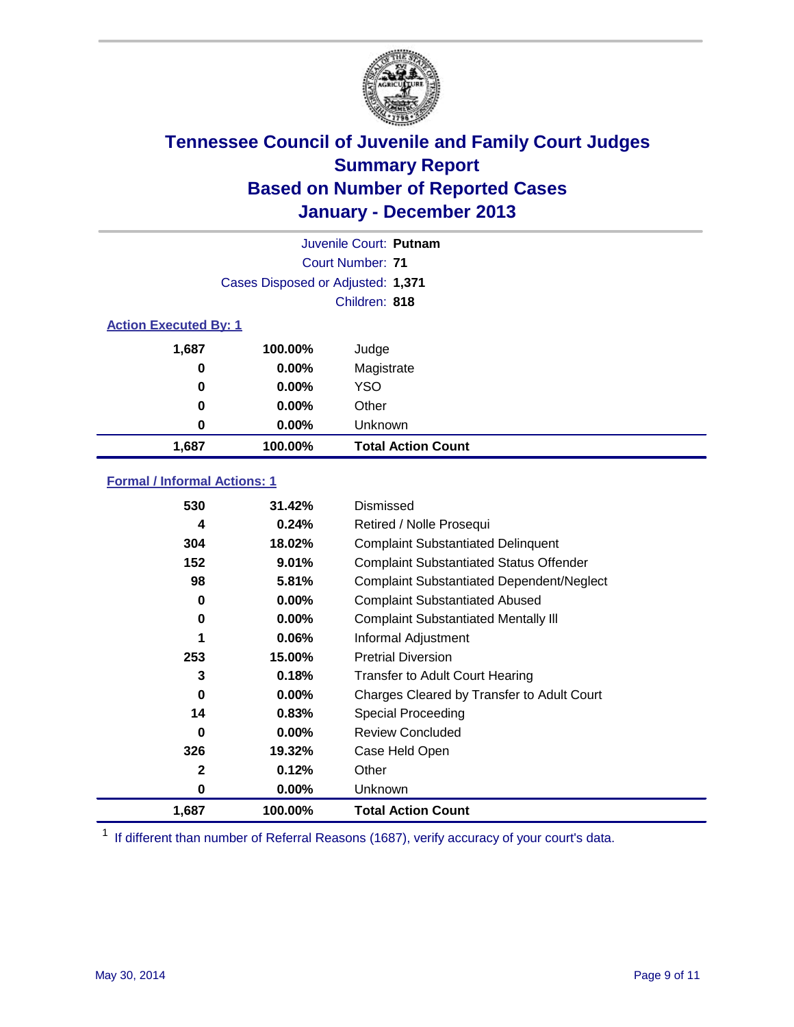

|                              |                                   | Juvenile Court: Putnam    |
|------------------------------|-----------------------------------|---------------------------|
|                              |                                   | Court Number: 71          |
|                              | Cases Disposed or Adjusted: 1,371 |                           |
|                              |                                   | Children: 818             |
| <b>Action Executed By: 1</b> |                                   |                           |
| 1,687                        | 100.00%                           | Judge                     |
| 0                            | $0.00\%$                          | Magistrate                |
| $\bf{0}$                     | $0.00\%$                          | <b>YSO</b>                |
| 0                            | $0.00\%$                          | Other                     |
| 0                            | $0.00\%$                          | Unknown                   |
| 1,687                        | 100.00%                           | <b>Total Action Count</b> |

### **Formal / Informal Actions: 1**

| 530   | 31.42%   | Dismissed                                        |
|-------|----------|--------------------------------------------------|
| 4     | 0.24%    | Retired / Nolle Prosequi                         |
| 304   | 18.02%   | <b>Complaint Substantiated Delinquent</b>        |
| 152   | 9.01%    | <b>Complaint Substantiated Status Offender</b>   |
| 98    | 5.81%    | <b>Complaint Substantiated Dependent/Neglect</b> |
| 0     | $0.00\%$ | <b>Complaint Substantiated Abused</b>            |
| 0     | $0.00\%$ | <b>Complaint Substantiated Mentally III</b>      |
| 1     | $0.06\%$ | Informal Adjustment                              |
| 253   | 15.00%   | <b>Pretrial Diversion</b>                        |
| 3     | 0.18%    | <b>Transfer to Adult Court Hearing</b>           |
| 0     | $0.00\%$ | Charges Cleared by Transfer to Adult Court       |
| 14    | 0.83%    | Special Proceeding                               |
| 0     | $0.00\%$ | <b>Review Concluded</b>                          |
| 326   | 19.32%   | Case Held Open                                   |
| 2     | 0.12%    | Other                                            |
| 0     | $0.00\%$ | Unknown                                          |
| 1,687 | 100.00%  | <b>Total Action Count</b>                        |

<sup>1</sup> If different than number of Referral Reasons (1687), verify accuracy of your court's data.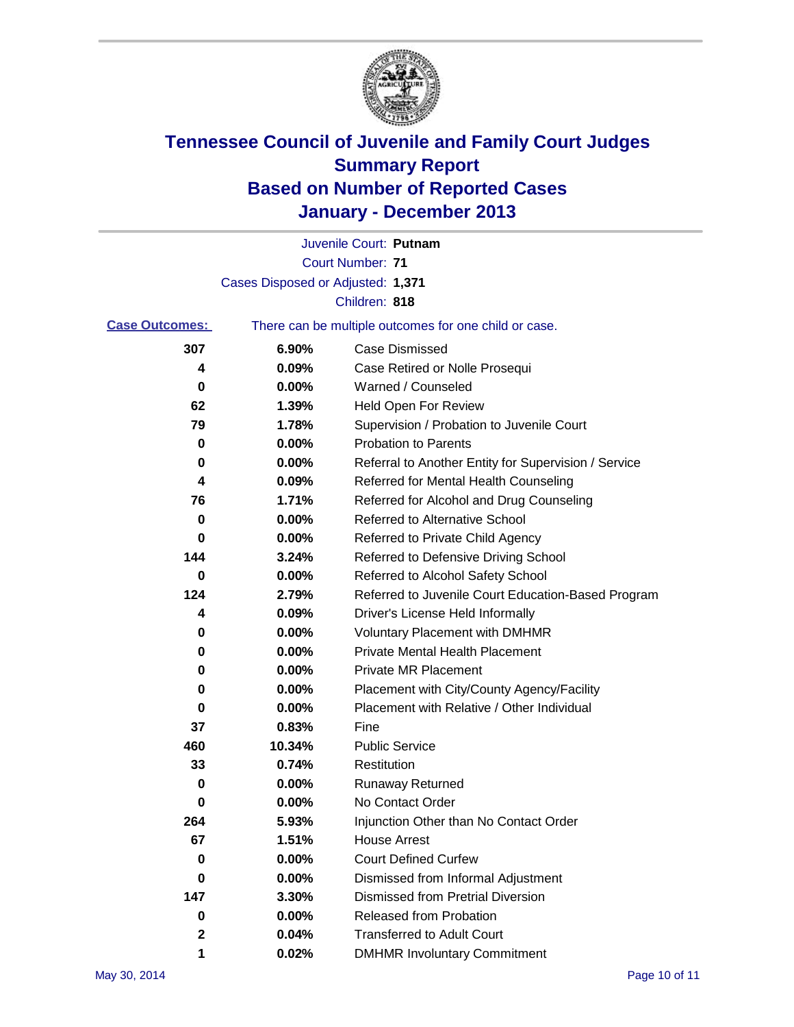

|                       |                                   | Juvenile Court: Putnam                                |
|-----------------------|-----------------------------------|-------------------------------------------------------|
|                       |                                   | <b>Court Number: 71</b>                               |
|                       | Cases Disposed or Adjusted: 1,371 |                                                       |
|                       |                                   | Children: 818                                         |
| <b>Case Outcomes:</b> |                                   | There can be multiple outcomes for one child or case. |
| 307                   | 6.90%                             | <b>Case Dismissed</b>                                 |
| 4                     | 0.09%                             | Case Retired or Nolle Prosequi                        |
| 0                     | 0.00%                             | Warned / Counseled                                    |
| 62                    | 1.39%                             | Held Open For Review                                  |
| 79                    | 1.78%                             | Supervision / Probation to Juvenile Court             |
| 0                     | 0.00%                             | <b>Probation to Parents</b>                           |
| 0                     | 0.00%                             | Referral to Another Entity for Supervision / Service  |
| 4                     | 0.09%                             | Referred for Mental Health Counseling                 |
| 76                    | 1.71%                             | Referred for Alcohol and Drug Counseling              |
| 0                     | 0.00%                             | Referred to Alternative School                        |
| 0                     | 0.00%                             | Referred to Private Child Agency                      |
| 144                   | 3.24%                             | Referred to Defensive Driving School                  |
| 0                     | 0.00%                             | Referred to Alcohol Safety School                     |
| 124                   | 2.79%                             | Referred to Juvenile Court Education-Based Program    |
| 4                     | 0.09%                             | Driver's License Held Informally                      |
| 0                     | 0.00%                             | <b>Voluntary Placement with DMHMR</b>                 |
| 0                     | 0.00%                             | <b>Private Mental Health Placement</b>                |
| 0                     | 0.00%                             | <b>Private MR Placement</b>                           |
| 0                     | 0.00%                             | Placement with City/County Agency/Facility            |
| 0                     | 0.00%                             | Placement with Relative / Other Individual            |
| 37                    | 0.83%                             | Fine                                                  |
| 460                   | 10.34%                            | <b>Public Service</b>                                 |
| 33                    | 0.74%                             | Restitution                                           |
| 0                     | 0.00%                             | <b>Runaway Returned</b>                               |
| 0                     | 0.00%                             | No Contact Order                                      |
| 264                   | 5.93%                             | Injunction Other than No Contact Order                |
| 67                    | 1.51%                             | <b>House Arrest</b>                                   |
| 0                     | 0.00%                             | <b>Court Defined Curfew</b>                           |
| 0                     | 0.00%                             | Dismissed from Informal Adjustment                    |
| 147                   | 3.30%                             | <b>Dismissed from Pretrial Diversion</b>              |
| 0                     | 0.00%                             | Released from Probation                               |
| 2                     | 0.04%                             | <b>Transferred to Adult Court</b>                     |
| 1                     | 0.02%                             | <b>DMHMR Involuntary Commitment</b>                   |